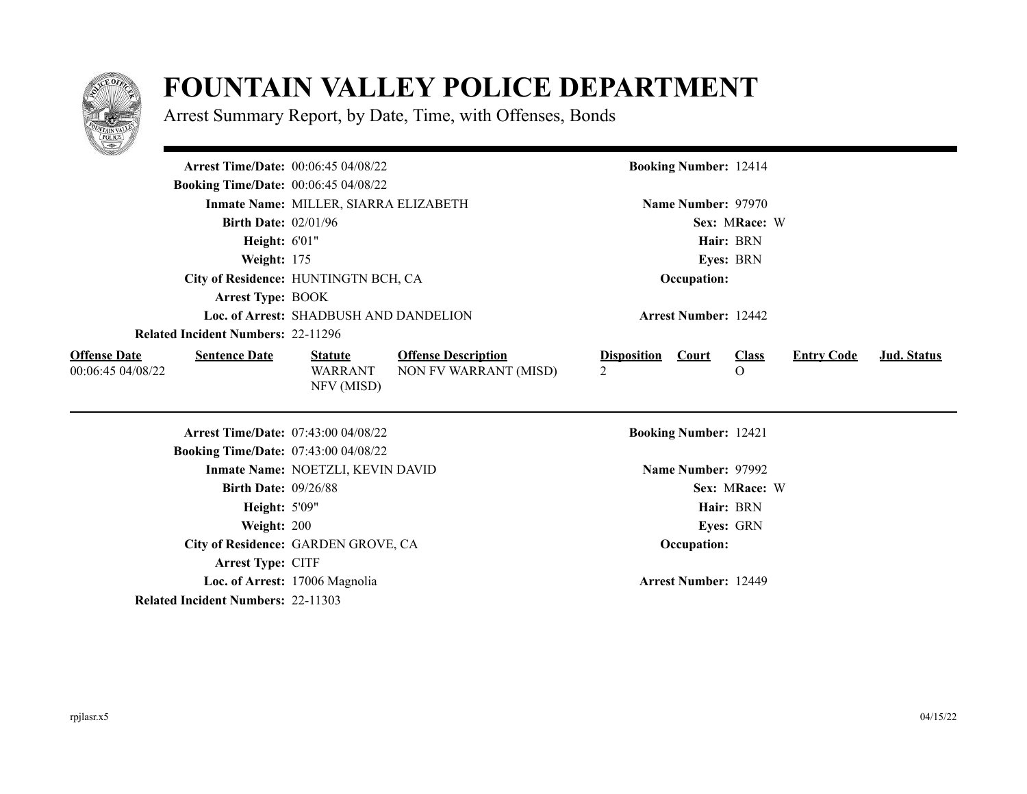

## **FOUNTAIN VALLEY POLICE DEPARTMENT**

Arrest Summary Report, by Date, Time, with Offenses, Bonds

| <u>e anno del</u>                                                |                                                |                                                     |                                      |                              |                              |                   |             |
|------------------------------------------------------------------|------------------------------------------------|-----------------------------------------------------|--------------------------------------|------------------------------|------------------------------|-------------------|-------------|
|                                                                  | Arrest Time/Date: 00:06:45 04/08/22            |                                                     |                                      | <b>Booking Number: 12414</b> |                              |                   |             |
| <b>Booking Time/Date: 00:06:45 04/08/22</b>                      |                                                |                                                     |                                      |                              |                              |                   |             |
|                                                                  | Inmate Name: MILLER, SIARRA ELIZABETH          |                                                     |                                      | Name Number: 97970           |                              |                   |             |
| <b>Birth Date: 02/01/96</b>                                      |                                                |                                                     |                                      |                              | Sex: MRace: W                |                   |             |
| <b>Height: 6'01"</b>                                             |                                                |                                                     |                                      |                              | Hair: BRN                    |                   |             |
| Weight: 175                                                      |                                                |                                                     |                                      |                              | Eyes: BRN                    |                   |             |
|                                                                  | City of Residence: HUNTINGTN BCH, CA           |                                                     |                                      | Occupation:                  |                              |                   |             |
| <b>Arrest Type: BOOK</b>                                         |                                                |                                                     |                                      |                              |                              |                   |             |
|                                                                  | Loc. of Arrest: SHADBUSH AND DANDELION         |                                                     |                                      | <b>Arrest Number: 12442</b>  |                              |                   |             |
| <b>Related Incident Numbers: 22-11296</b>                        |                                                |                                                     |                                      |                              |                              |                   |             |
| <b>Offense Date</b><br><b>Sentence Date</b><br>00:06:45 04/08/22 | <b>Statute</b><br><b>WARRANT</b><br>NFV (MISD) | <b>Offense Description</b><br>NON FV WARRANT (MISD) | <b>Disposition</b><br>$\overline{2}$ | <b>Court</b>                 | <b>Class</b><br>$\mathbf{O}$ | <b>Entry Code</b> | Jud. Status |
|                                                                  | Arrest Time/Date: 07:43:00 04/08/22            |                                                     |                                      | <b>Booking Number: 12421</b> |                              |                   |             |
| <b>Booking Time/Date: 07:43:00 04/08/22</b>                      |                                                |                                                     |                                      |                              |                              |                   |             |
|                                                                  | Inmate Name: NOETZLI, KEVIN DAVID              |                                                     |                                      | Name Number: 97992           |                              |                   |             |
| <b>Birth Date: 09/26/88</b>                                      |                                                |                                                     |                                      |                              | Sex: MRace: W                |                   |             |
| <b>Height: 5'09"</b>                                             |                                                |                                                     |                                      |                              | Hair: BRN                    |                   |             |
| Weight: 200                                                      |                                                |                                                     |                                      |                              | Eyes: GRN                    |                   |             |
|                                                                  | City of Residence: GARDEN GROVE, CA            |                                                     |                                      | Occupation:                  |                              |                   |             |
| Arrest Type: CITF                                                |                                                |                                                     |                                      |                              |                              |                   |             |
|                                                                  | Loc. of Arrest: 17006 Magnolia                 |                                                     |                                      | <b>Arrest Number: 12449</b>  |                              |                   |             |
| <b>Related Incident Numbers: 22-11303</b>                        |                                                |                                                     |                                      |                              |                              |                   |             |

 $\overline{\phantom{0}}$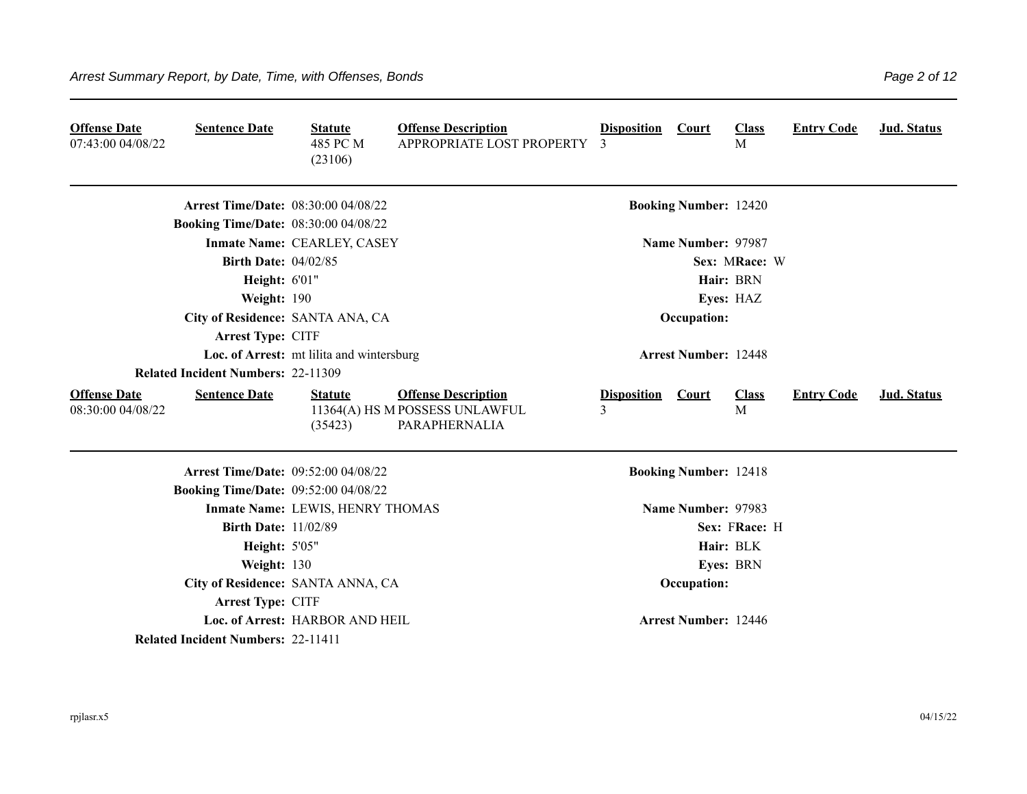| <b>Offense Date</b><br>07:43:00 04/08/22 | <b>Sentence Date</b>                        | <b>Statute</b><br>485 PC M<br>(23106)     | <b>Offense Description</b><br>APPROPRIATE LOST PROPERTY                       | <b>Disposition</b><br>3 | <b>Court</b>                 | <b>Class</b><br>M | <b>Entry Code</b> | Jud. Status        |
|------------------------------------------|---------------------------------------------|-------------------------------------------|-------------------------------------------------------------------------------|-------------------------|------------------------------|-------------------|-------------------|--------------------|
|                                          | <b>Arrest Time/Date: 08:30:00 04/08/22</b>  |                                           |                                                                               |                         | <b>Booking Number: 12420</b> |                   |                   |                    |
|                                          | <b>Booking Time/Date: 08:30:00 04/08/22</b> |                                           |                                                                               |                         |                              |                   |                   |                    |
|                                          |                                             | Inmate Name: CEARLEY, CASEY               |                                                                               |                         | Name Number: 97987           |                   |                   |                    |
|                                          | <b>Birth Date: 04/02/85</b>                 |                                           |                                                                               |                         |                              | Sex: MRace: W     |                   |                    |
|                                          | Height: 6'01"                               |                                           |                                                                               |                         |                              | Hair: BRN         |                   |                    |
|                                          | Weight: 190                                 |                                           |                                                                               |                         |                              | Eyes: HAZ         |                   |                    |
|                                          | City of Residence: SANTA ANA, CA            |                                           |                                                                               |                         | Occupation:                  |                   |                   |                    |
|                                          | Arrest Type: CITF                           |                                           |                                                                               |                         |                              |                   |                   |                    |
|                                          |                                             | Loc. of Arrest: mt lilita and wintersburg |                                                                               |                         | <b>Arrest Number: 12448</b>  |                   |                   |                    |
|                                          | <b>Related Incident Numbers: 22-11309</b>   |                                           |                                                                               |                         |                              |                   |                   |                    |
| <b>Offense Date</b><br>08:30:00 04/08/22 | <b>Sentence Date</b>                        | <b>Statute</b><br>(35423)                 | <b>Offense Description</b><br>11364(A) HS M POSSESS UNLAWFUL<br>PARAPHERNALIA | <b>Disposition</b><br>3 | <b>Court</b>                 | <b>Class</b><br>M | <b>Entry Code</b> | <b>Jud. Status</b> |
|                                          | <b>Arrest Time/Date: 09:52:00 04/08/22</b>  |                                           |                                                                               |                         | <b>Booking Number: 12418</b> |                   |                   |                    |
|                                          | <b>Booking Time/Date: 09:52:00 04/08/22</b> |                                           |                                                                               |                         |                              |                   |                   |                    |
|                                          |                                             | Inmate Name: LEWIS, HENRY THOMAS          |                                                                               |                         | Name Number: 97983           |                   |                   |                    |
|                                          | <b>Birth Date: 11/02/89</b>                 |                                           |                                                                               |                         |                              | Sex: FRace: H     |                   |                    |
|                                          | Height: 5'05"                               |                                           |                                                                               |                         |                              | Hair: BLK         |                   |                    |
|                                          | Weight: 130                                 |                                           |                                                                               |                         |                              | Eyes: BRN         |                   |                    |
|                                          |                                             | City of Residence: SANTA ANNA, CA         |                                                                               |                         | Occupation:                  |                   |                   |                    |
|                                          | Arrest Type: CITF                           |                                           |                                                                               |                         |                              |                   |                   |                    |
|                                          |                                             | Loc. of Arrest: HARBOR AND HEIL           |                                                                               |                         | <b>Arrest Number: 12446</b>  |                   |                   |                    |
|                                          | <b>Related Incident Numbers: 22-11411</b>   |                                           |                                                                               |                         |                              |                   |                   |                    |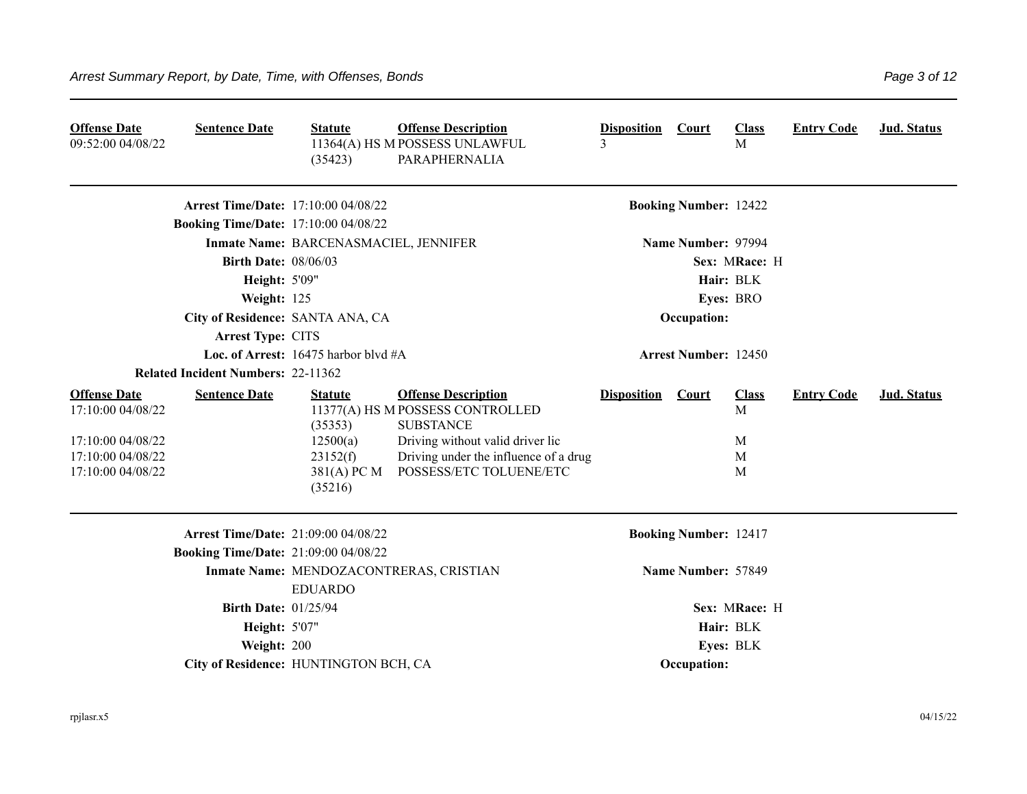| <b>Offense Date</b><br>09:52:00 04/08/22                                                                | <b>Sentence Date</b>                        | <b>Statute</b><br>(35423)                                                   | <b>Offense Description</b><br>11364(A) HS M POSSESS UNLAWFUL<br>PARAPHERNALIA                                                                                                              | <b>Disposition</b><br>3 | <b>Court</b>                 | <b>Class</b><br>M                | <b>Entry Code</b> | Jud. Status |
|---------------------------------------------------------------------------------------------------------|---------------------------------------------|-----------------------------------------------------------------------------|--------------------------------------------------------------------------------------------------------------------------------------------------------------------------------------------|-------------------------|------------------------------|----------------------------------|-------------------|-------------|
|                                                                                                         | <b>Arrest Time/Date: 17:10:00 04/08/22</b>  |                                                                             |                                                                                                                                                                                            |                         | <b>Booking Number: 12422</b> |                                  |                   |             |
|                                                                                                         | <b>Booking Time/Date: 17:10:00 04/08/22</b> |                                                                             |                                                                                                                                                                                            |                         |                              |                                  |                   |             |
|                                                                                                         |                                             | Inmate Name: BARCENASMACIEL, JENNIFER                                       |                                                                                                                                                                                            |                         | Name Number: 97994           |                                  |                   |             |
|                                                                                                         | <b>Birth Date: 08/06/03</b>                 |                                                                             |                                                                                                                                                                                            |                         |                              | Sex: MRace: H                    |                   |             |
|                                                                                                         | <b>Height: 5'09"</b>                        |                                                                             |                                                                                                                                                                                            |                         |                              | Hair: BLK                        |                   |             |
|                                                                                                         | Weight: 125                                 |                                                                             |                                                                                                                                                                                            |                         |                              | Eyes: BRO                        |                   |             |
|                                                                                                         | City of Residence: SANTA ANA, CA            |                                                                             |                                                                                                                                                                                            |                         | Occupation:                  |                                  |                   |             |
|                                                                                                         | <b>Arrest Type: CITS</b>                    |                                                                             |                                                                                                                                                                                            |                         |                              |                                  |                   |             |
|                                                                                                         |                                             | Loc. of Arrest: $16475$ harbor blvd #A                                      |                                                                                                                                                                                            |                         | <b>Arrest Number: 12450</b>  |                                  |                   |             |
|                                                                                                         | <b>Related Incident Numbers: 22-11362</b>   |                                                                             |                                                                                                                                                                                            |                         |                              |                                  |                   |             |
| <b>Offense Date</b><br>17:10:00 04/08/22<br>17:10:00 04/08/22<br>17:10:00 04/08/22<br>17:10:00 04/08/22 | <b>Sentence Date</b>                        | <b>Statute</b><br>(35353)<br>12500(a)<br>23152(f)<br>381(A) PC M<br>(35216) | <b>Offense Description</b><br>11377(A) HS M POSSESS CONTROLLED<br><b>SUBSTANCE</b><br>Driving without valid driver lic<br>Driving under the influence of a drug<br>POSSESS/ETC TOLUENE/ETC | <b>Disposition</b>      | <b>Court</b>                 | <b>Class</b><br>M<br>M<br>M<br>M | <b>Entry Code</b> | Jud. Status |
|                                                                                                         | <b>Arrest Time/Date: 21:09:00 04/08/22</b>  |                                                                             |                                                                                                                                                                                            |                         | <b>Booking Number: 12417</b> |                                  |                   |             |
|                                                                                                         | <b>Booking Time/Date: 21:09:00 04/08/22</b> |                                                                             |                                                                                                                                                                                            |                         |                              |                                  |                   |             |
|                                                                                                         |                                             | <b>EDUARDO</b>                                                              | Inmate Name: MENDOZACONTRERAS, CRISTIAN                                                                                                                                                    |                         | Name Number: 57849           |                                  |                   |             |
|                                                                                                         | <b>Birth Date: 01/25/94</b>                 |                                                                             |                                                                                                                                                                                            |                         |                              | Sex: MRace: H                    |                   |             |
|                                                                                                         | <b>Height: 5'07"</b>                        |                                                                             |                                                                                                                                                                                            |                         |                              | Hair: BLK                        |                   |             |
|                                                                                                         | Weight: 200                                 |                                                                             |                                                                                                                                                                                            |                         |                              | Eyes: BLK                        |                   |             |
|                                                                                                         | City of Residence: HUNTINGTON BCH, CA       |                                                                             |                                                                                                                                                                                            |                         | Occupation:                  |                                  |                   |             |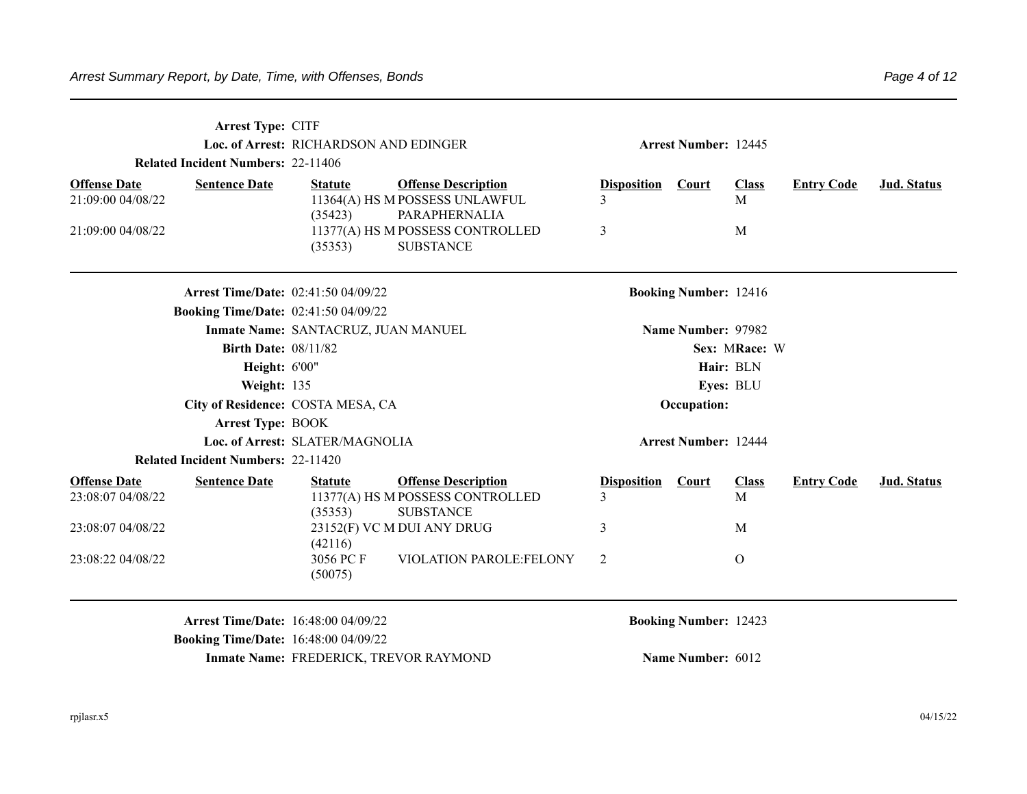|                                          | Arrest Type: CITF<br><b>Related Incident Numbers: 22-11406</b> | Loc. of Arrest: RICHARDSON AND EDINGER |                                                                                    | <b>Arrest Number: 12445</b> |                              |                   |                   |                    |
|------------------------------------------|----------------------------------------------------------------|----------------------------------------|------------------------------------------------------------------------------------|-----------------------------|------------------------------|-------------------|-------------------|--------------------|
| <b>Offense Date</b><br>21:09:00 04/08/22 | <b>Sentence Date</b>                                           | <b>Statute</b><br>(35423)              | <b>Offense Description</b><br>11364(A) HS M POSSESS UNLAWFUL<br>PARAPHERNALIA      | <b>Disposition</b><br>3     | Court                        | <b>Class</b><br>M | <b>Entry Code</b> | <b>Jud. Status</b> |
| 21:09:00 04/08/22                        |                                                                | (35353)                                | 11377(A) HS M POSSESS CONTROLLED<br><b>SUBSTANCE</b>                               | 3                           |                              | M                 |                   |                    |
|                                          | <b>Arrest Time/Date: 02:41:50 04/09/22</b>                     |                                        |                                                                                    |                             | <b>Booking Number: 12416</b> |                   |                   |                    |
|                                          | <b>Booking Time/Date: 02:41:50 04/09/22</b>                    |                                        |                                                                                    |                             |                              |                   |                   |                    |
|                                          | <b>Birth Date: 08/11/82</b>                                    | Inmate Name: SANTACRUZ, JUAN MANUEL    |                                                                                    |                             | Name Number: 97982           | Sex: MRace: W     |                   |                    |
|                                          |                                                                |                                        | Hair: BLN                                                                          |                             |                              |                   |                   |                    |
|                                          | Height: 6'00"<br>Weight: 135                                   |                                        |                                                                                    |                             |                              | Eyes: BLU         |                   |                    |
|                                          | City of Residence: COSTA MESA, CA                              |                                        |                                                                                    |                             | Occupation:                  |                   |                   |                    |
|                                          | <b>Arrest Type: BOOK</b>                                       |                                        |                                                                                    |                             |                              |                   |                   |                    |
|                                          |                                                                | Loc. of Arrest: SLATER/MAGNOLIA        |                                                                                    |                             | <b>Arrest Number: 12444</b>  |                   |                   |                    |
|                                          | <b>Related Incident Numbers: 22-11420</b>                      |                                        |                                                                                    |                             |                              |                   |                   |                    |
| <b>Offense Date</b><br>23:08:07 04/08/22 | <b>Sentence Date</b>                                           | <b>Statute</b><br>(35353)              | <b>Offense Description</b><br>11377(A) HS M POSSESS CONTROLLED<br><b>SUBSTANCE</b> | <b>Disposition</b><br>3     | Court                        | <b>Class</b><br>M | <b>Entry Code</b> | <b>Jud. Status</b> |
| 23:08:07 04/08/22                        |                                                                |                                        | 23152(F) VC M DUI ANY DRUG                                                         | 3                           |                              | M                 |                   |                    |
|                                          |                                                                | (42116)                                |                                                                                    |                             |                              |                   |                   |                    |
| 23:08:22 04/08/22                        |                                                                | 3056 PC F<br>(50075)                   | VIOLATION PAROLE:FELONY                                                            | 2                           |                              | $\overline{O}$    |                   |                    |
|                                          | <b>Arrest Time/Date: 16:48:00 04/09/22</b>                     |                                        |                                                                                    |                             | <b>Booking Number: 12423</b> |                   |                   |                    |

**Booking Time/Date:** 16:48:00 04/09/22

**Inmate Name: FREDERICK, TREVOR RAYMOND Name Number: 6012**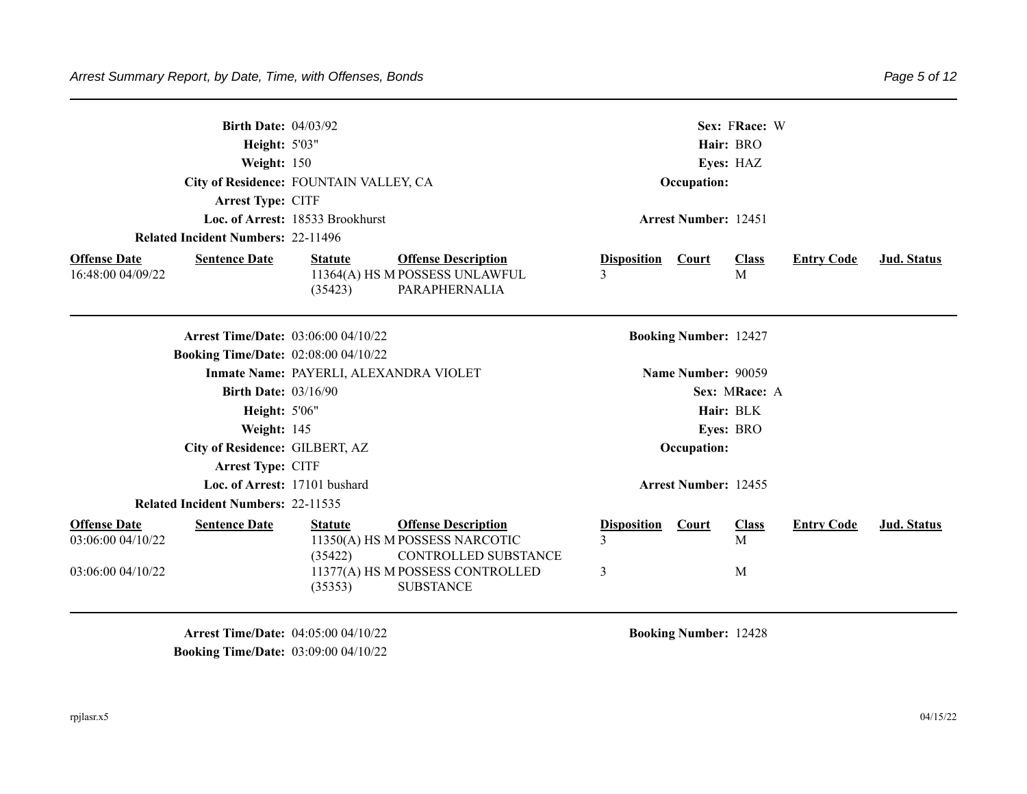|                                                               | <b>Birth Date: 04/03/92</b><br>Height: 5'03"<br>Weight: 150<br>City of Residence: FOUNTAIN VALLEY, CA<br>Arrest Type: CITF<br>Loc. of Arrest: 18533 Brookhurst<br><b>Related Incident Numbers: 22-11496</b><br><b>Offense Description</b><br><b>Sentence Date</b><br><b>Statute</b> |                                             |                                                                                                                                                     |                              | Sex: FRace: W<br>Hair: BRO<br>Eyes: HAZ<br>Occupation:<br><b>Arrest Number: 12451</b> |                        |                   |                    |  |  |
|---------------------------------------------------------------|-------------------------------------------------------------------------------------------------------------------------------------------------------------------------------------------------------------------------------------------------------------------------------------|---------------------------------------------|-----------------------------------------------------------------------------------------------------------------------------------------------------|------------------------------|---------------------------------------------------------------------------------------|------------------------|-------------------|--------------------|--|--|
|                                                               |                                                                                                                                                                                                                                                                                     |                                             |                                                                                                                                                     |                              |                                                                                       |                        |                   |                    |  |  |
|                                                               |                                                                                                                                                                                                                                                                                     |                                             |                                                                                                                                                     |                              |                                                                                       |                        |                   |                    |  |  |
| <b>Offense Date</b><br>16:48:00 04/09/22                      |                                                                                                                                                                                                                                                                                     | (35423)                                     | 11364(A) HS M POSSESS UNLAWFUL<br>PARAPHERNALIA                                                                                                     | <b>Disposition</b>           | <b>Court</b>                                                                          | <b>Class</b><br>M      | <b>Entry Code</b> | <b>Jud.</b> Status |  |  |
|                                                               |                                                                                                                                                                                                                                                                                     | <b>Arrest Time/Date: 03:06:00 04/10/22</b>  |                                                                                                                                                     |                              | <b>Booking Number: 12427</b>                                                          |                        |                   |                    |  |  |
|                                                               |                                                                                                                                                                                                                                                                                     | <b>Booking Time/Date: 02:08:00 04/10/22</b> |                                                                                                                                                     |                              |                                                                                       |                        |                   |                    |  |  |
|                                                               |                                                                                                                                                                                                                                                                                     | Inmate Name: PAYERLI, ALEXANDRA VIOLET      |                                                                                                                                                     |                              | Name Number: 90059                                                                    |                        |                   |                    |  |  |
|                                                               | <b>Birth Date: 03/16/90</b>                                                                                                                                                                                                                                                         |                                             |                                                                                                                                                     |                              |                                                                                       | Sex: MRace: A          |                   |                    |  |  |
|                                                               | Height: 5'06"                                                                                                                                                                                                                                                                       |                                             |                                                                                                                                                     |                              |                                                                                       | Hair: BLK              |                   |                    |  |  |
|                                                               | Weight: 145                                                                                                                                                                                                                                                                         |                                             |                                                                                                                                                     |                              |                                                                                       | Eyes: BRO              |                   |                    |  |  |
|                                                               |                                                                                                                                                                                                                                                                                     | City of Residence: GILBERT, AZ              |                                                                                                                                                     |                              | Occupation:                                                                           |                        |                   |                    |  |  |
|                                                               | Arrest Type: CITF                                                                                                                                                                                                                                                                   |                                             |                                                                                                                                                     |                              |                                                                                       |                        |                   |                    |  |  |
|                                                               |                                                                                                                                                                                                                                                                                     | Loc. of Arrest: 17101 bushard               |                                                                                                                                                     |                              | <b>Arrest Number: 12455</b>                                                           |                        |                   |                    |  |  |
| <b>Related Incident Numbers: 22-11535</b>                     |                                                                                                                                                                                                                                                                                     |                                             |                                                                                                                                                     |                              |                                                                                       |                        |                   |                    |  |  |
| <b>Offense Date</b><br>03:06:00 04/10/22<br>03:06:00 04/10/22 | <b>Sentence Date</b>                                                                                                                                                                                                                                                                | <b>Statute</b><br>(35422)<br>(35353)        | <b>Offense Description</b><br>11350(A) HS M POSSESS NARCOTIC<br><b>CONTROLLED SUBSTANCE</b><br>11377(A) HS M POSSESS CONTROLLED<br><b>SUBSTANCE</b> | <b>Disposition</b><br>3<br>3 | Court                                                                                 | <b>Class</b><br>M<br>M | <b>Entry Code</b> | <b>Jud.</b> Status |  |  |

**Arrest Time/Date:** 04:05:00 04/10/22 **Booking Number:** 12428 **Booking Time/Date: 03:09:00 04/10/22**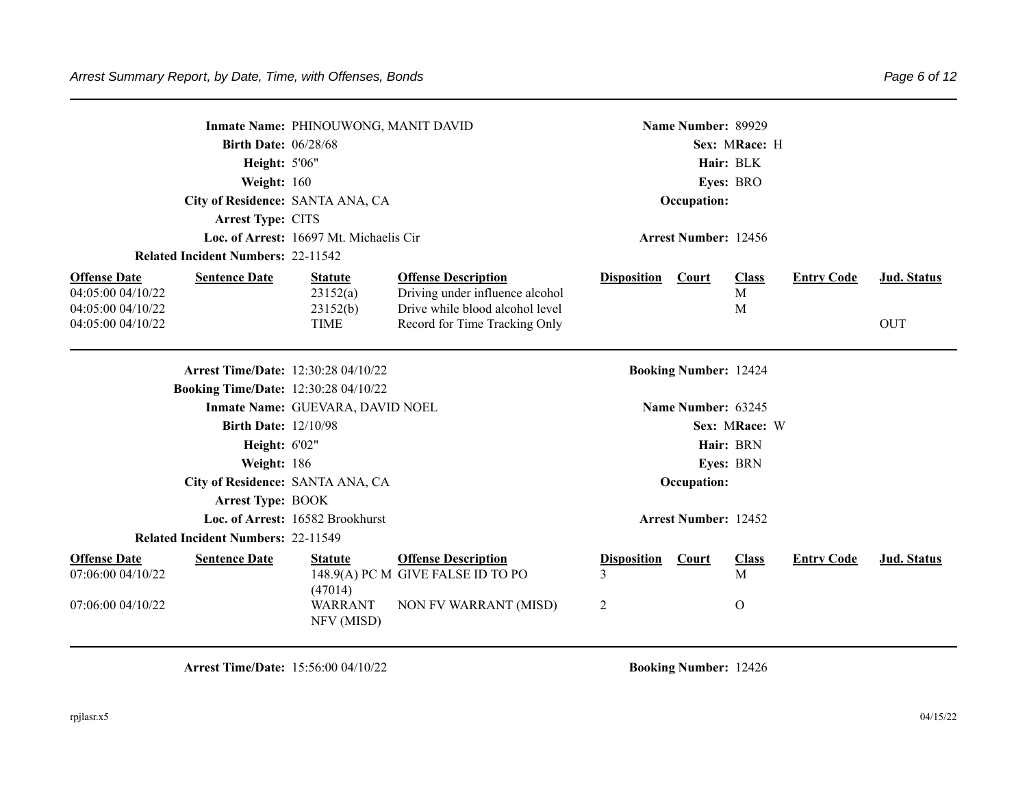|                                                                  | Inmate Name: PHINOUWONG, MANIT DAVID        |                                                                    |                         | Name Number: 89929           |                   |                   |             |
|------------------------------------------------------------------|---------------------------------------------|--------------------------------------------------------------------|-------------------------|------------------------------|-------------------|-------------------|-------------|
|                                                                  | <b>Birth Date: 06/28/68</b>                 |                                                                    |                         |                              | Sex: MRace: H     |                   |             |
|                                                                  | Height: 5'06"                               |                                                                    |                         |                              | Hair: BLK         |                   |             |
|                                                                  | Weight: 160                                 |                                                                    |                         |                              | Eyes: BRO         |                   |             |
|                                                                  | City of Residence: SANTA ANA, CA            |                                                                    |                         | Occupation:                  |                   |                   |             |
| Arrest Type: CITS                                                |                                             |                                                                    |                         |                              |                   |                   |             |
|                                                                  | Loc. of Arrest: 16697 Mt. Michaelis Cir     |                                                                    |                         | <b>Arrest Number: 12456</b>  |                   |                   |             |
| <b>Related Incident Numbers: 22-11542</b>                        |                                             |                                                                    |                         |                              |                   |                   |             |
| <b>Offense Date</b><br><b>Sentence Date</b>                      | <b>Statute</b>                              | <b>Offense Description</b>                                         | <b>Disposition</b>      | <b>Court</b>                 | <b>Class</b>      | <b>Entry Code</b> | Jud. Status |
| 04:05:00 04/10/22<br>04:05:00 04/10/22                           | 23152(a)<br>23152(b)                        | Driving under influence alcohol<br>Drive while blood alcohol level |                         |                              | $\mathbf{M}$<br>M |                   |             |
| 04:05:00 04/10/22                                                | <b>TIME</b>                                 | Record for Time Tracking Only                                      |                         |                              |                   |                   | <b>OUT</b>  |
|                                                                  |                                             |                                                                    |                         |                              |                   |                   |             |
|                                                                  | <b>Arrest Time/Date: 12:30:28 04/10/22</b>  |                                                                    |                         | <b>Booking Number: 12424</b> |                   |                   |             |
|                                                                  | <b>Booking Time/Date: 12:30:28 04/10/22</b> |                                                                    |                         |                              |                   |                   |             |
|                                                                  | Inmate Name: GUEVARA, DAVID NOEL            |                                                                    |                         | Name Number: 63245           |                   |                   |             |
|                                                                  | <b>Birth Date: 12/10/98</b>                 |                                                                    |                         |                              | Sex: MRace: W     |                   |             |
|                                                                  | Height: 6'02"                               |                                                                    |                         |                              | Hair: BRN         |                   |             |
|                                                                  | Weight: 186                                 |                                                                    |                         |                              | Eyes: BRN         |                   |             |
|                                                                  | City of Residence: SANTA ANA, CA            |                                                                    |                         | Occupation:                  |                   |                   |             |
| <b>Arrest Type: BOOK</b>                                         |                                             |                                                                    |                         |                              |                   |                   |             |
|                                                                  | Loc. of Arrest: 16582 Brookhurst            |                                                                    |                         | <b>Arrest Number: 12452</b>  |                   |                   |             |
| <b>Related Incident Numbers: 22-11549</b>                        |                                             |                                                                    |                         |                              |                   |                   |             |
| <b>Offense Date</b><br><b>Sentence Date</b><br>07:06:00 04/10/22 | <b>Statute</b><br>(47014)                   | <b>Offense Description</b><br>148.9(A) PC M GIVE FALSE ID TO PO    | <b>Disposition</b><br>3 | <b>Court</b>                 | <b>Class</b><br>M | <b>Entry Code</b> | Jud. Status |
| 07:06:00 04/10/22                                                | <b>WARRANT</b><br>NFV (MISD)                | NON FV WARRANT (MISD)                                              | 2                       |                              | $\mathbf{O}$      |                   |             |

**Arrest Time/Date:** 15:56:00 04/10/22 **Booking Number:** 12426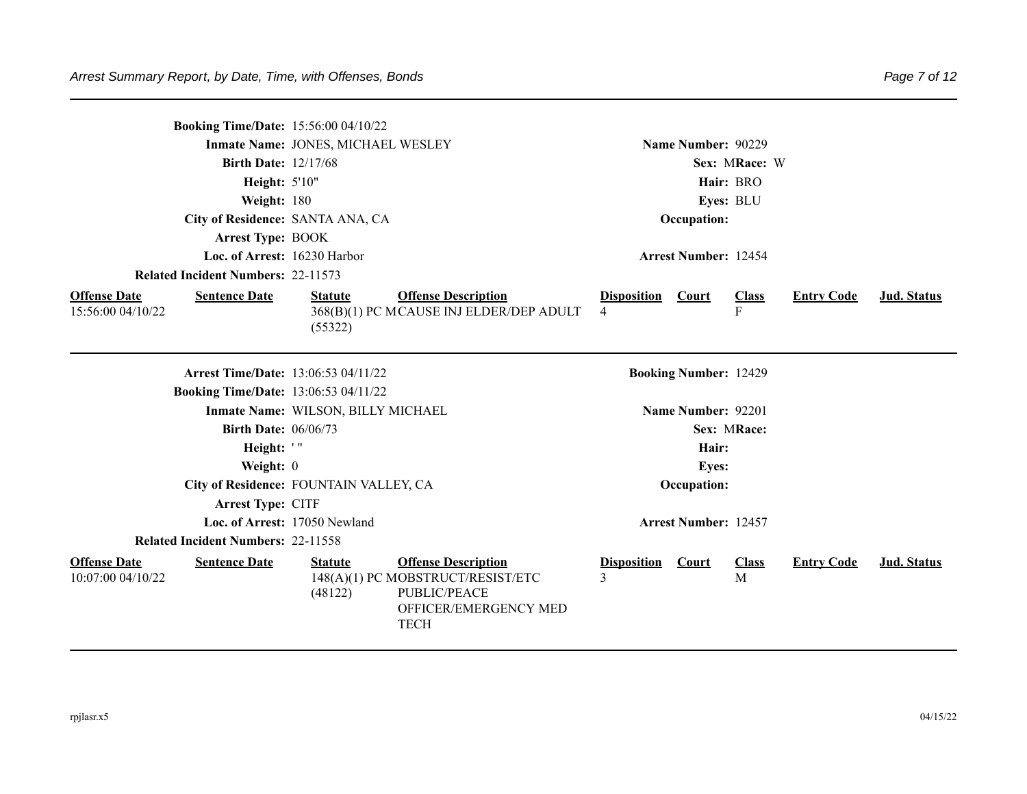|                                          |                                           | <b>Booking Time/Date: 15:56:00 04/10/22</b> |                                                                                                                         |                         |                              |                              |                   |                    |
|------------------------------------------|-------------------------------------------|---------------------------------------------|-------------------------------------------------------------------------------------------------------------------------|-------------------------|------------------------------|------------------------------|-------------------|--------------------|
|                                          |                                           | Inmate Name: JONES, MICHAEL WESLEY          |                                                                                                                         |                         | Name Number: 90229           |                              |                   |                    |
|                                          | <b>Birth Date: 12/17/68</b>               |                                             |                                                                                                                         |                         |                              | Sex: MRace: W                |                   |                    |
|                                          | Height: 5'10"                             |                                             |                                                                                                                         |                         |                              | Hair: BRO                    |                   |                    |
|                                          | Weight: 180                               |                                             |                                                                                                                         |                         |                              | Eyes: BLU                    |                   |                    |
|                                          |                                           | City of Residence: SANTA ANA, CA            |                                                                                                                         |                         | Occupation:                  |                              |                   |                    |
|                                          | <b>Arrest Type: BOOK</b>                  |                                             |                                                                                                                         |                         |                              |                              |                   |                    |
|                                          | Loc. of Arrest: 16230 Harbor              |                                             |                                                                                                                         |                         | <b>Arrest Number: 12454</b>  |                              |                   |                    |
|                                          | <b>Related Incident Numbers: 22-11573</b> |                                             |                                                                                                                         |                         |                              |                              |                   |                    |
| <b>Offense Date</b><br>15:56:00 04/10/22 | <b>Sentence Date</b>                      | <b>Statute</b><br>(55322)                   | <b>Offense Description</b><br>368(B)(1) PC MCAUSE INJ ELDER/DEP ADULT                                                   | <b>Disposition</b><br>4 | <b>Court</b>                 | <b>Class</b><br>$\mathbf{F}$ | <b>Entry Code</b> | Jud. Status        |
|                                          |                                           | <b>Arrest Time/Date: 13:06:53 04/11/22</b>  |                                                                                                                         |                         | <b>Booking Number: 12429</b> |                              |                   |                    |
|                                          |                                           | <b>Booking Time/Date: 13:06:53 04/11/22</b> |                                                                                                                         |                         |                              |                              |                   |                    |
|                                          |                                           | Inmate Name: WILSON, BILLY MICHAEL          |                                                                                                                         |                         | Name Number: 92201           |                              |                   |                    |
|                                          | <b>Birth Date: 06/06/73</b>               |                                             |                                                                                                                         |                         |                              | Sex: MRace:                  |                   |                    |
|                                          | Height: '"                                |                                             |                                                                                                                         |                         | Hair:                        |                              |                   |                    |
|                                          | Weight: 0                                 |                                             |                                                                                                                         |                         | <b>Eyes:</b>                 |                              |                   |                    |
|                                          |                                           | City of Residence: FOUNTAIN VALLEY, CA      |                                                                                                                         |                         | Occupation:                  |                              |                   |                    |
|                                          | Arrest Type: CITF                         |                                             |                                                                                                                         |                         |                              |                              |                   |                    |
|                                          |                                           | Loc. of Arrest: 17050 Newland               |                                                                                                                         |                         | <b>Arrest Number: 12457</b>  |                              |                   |                    |
|                                          | <b>Related Incident Numbers: 22-11558</b> |                                             |                                                                                                                         |                         |                              |                              |                   |                    |
| <b>Offense Date</b><br>10:07:00 04/10/22 | <b>Sentence Date</b>                      | <b>Statute</b><br>(48122)                   | <b>Offense Description</b><br>148(A)(1) PC MOBSTRUCT/RESIST/ETC<br>PUBLIC/PEACE<br>OFFICER/EMERGENCY MED<br><b>TECH</b> | <b>Disposition</b><br>3 | Court                        | <b>Class</b><br>M            | <b>Entry Code</b> | <b>Jud. Status</b> |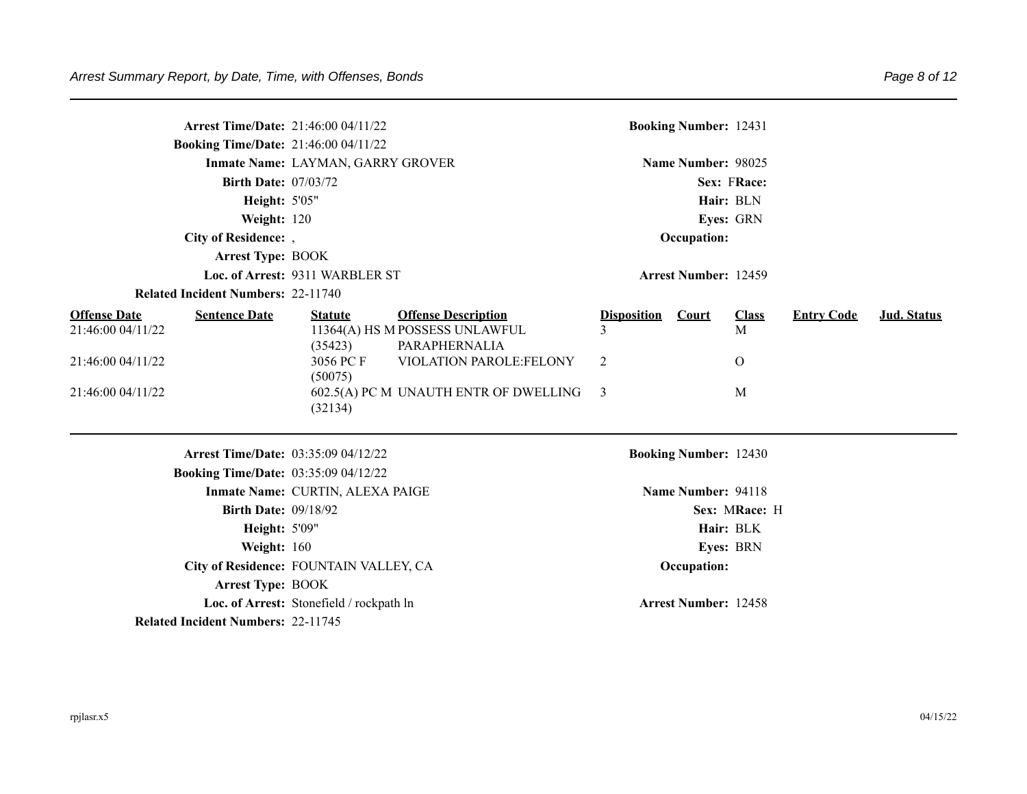|                                          | <b>Arrest Time/Date: 21:46:00 04/11/22</b>  |                                          |                                                              |                    | <b>Booking Number: 12431</b> |                   |                   |             |
|------------------------------------------|---------------------------------------------|------------------------------------------|--------------------------------------------------------------|--------------------|------------------------------|-------------------|-------------------|-------------|
|                                          | <b>Booking Time/Date: 21:46:00 04/11/22</b> |                                          |                                                              |                    |                              |                   |                   |             |
|                                          |                                             | Inmate Name: LAYMAN, GARRY GROVER        |                                                              |                    | Name Number: 98025           |                   |                   |             |
|                                          | <b>Birth Date: 07/03/72</b>                 |                                          |                                                              |                    |                              | Sex: FRace:       |                   |             |
|                                          | <b>Height: 5'05"</b>                        |                                          |                                                              |                    |                              | Hair: BLN         |                   |             |
|                                          | Weight: 120                                 |                                          |                                                              |                    |                              | Eyes: GRN         |                   |             |
|                                          | City of Residence: ,                        |                                          |                                                              |                    | Occupation:                  |                   |                   |             |
|                                          | <b>Arrest Type: BOOK</b>                    |                                          |                                                              |                    |                              |                   |                   |             |
|                                          |                                             | Loc. of Arrest: 9311 WARBLER ST          |                                                              |                    | <b>Arrest Number: 12459</b>  |                   |                   |             |
|                                          | <b>Related Incident Numbers: 22-11740</b>   |                                          |                                                              |                    |                              |                   |                   |             |
| <b>Offense Date</b><br>21:46:00 04/11/22 | <b>Sentence Date</b>                        | <b>Statute</b>                           | <b>Offense Description</b><br>11364(A) HS M POSSESS UNLAWFUL | <b>Disposition</b> | Court                        | <b>Class</b><br>M | <b>Entry Code</b> | Jud. Status |
| 21:46:00 04/11/22                        |                                             | (35423)<br>3056 PC F<br>(50075)          | PARAPHERNALIA<br>VIOLATION PAROLE:FELONY                     | 2                  |                              | $\overline{O}$    |                   |             |
| 21:46:00 04/11/22                        |                                             | (32134)                                  | 602.5(A) PC M UNAUTH ENTR OF DWELLING                        | 3                  |                              | M                 |                   |             |
|                                          | Arrest Time/Date: 03:35:09 04/12/22         |                                          |                                                              |                    | <b>Booking Number: 12430</b> |                   |                   |             |
|                                          | <b>Booking Time/Date: 03:35:09 04/12/22</b> |                                          |                                                              |                    |                              |                   |                   |             |
|                                          |                                             | Inmate Name: CURTIN, ALEXA PAIGE         |                                                              |                    | Name Number: 94118           |                   |                   |             |
|                                          | <b>Birth Date: 09/18/92</b>                 |                                          |                                                              |                    |                              | Sex: MRace: H     |                   |             |
|                                          | Height: 5'09"                               |                                          |                                                              |                    |                              | Hair: BLK         |                   |             |
|                                          | Weight: 160                                 |                                          |                                                              |                    |                              | <b>Eyes: BRN</b>  |                   |             |
|                                          | City of Residence: FOUNTAIN VALLEY, CA      |                                          |                                                              |                    | Occupation:                  |                   |                   |             |
|                                          | <b>Arrest Type: BOOK</b>                    |                                          |                                                              |                    |                              |                   |                   |             |
|                                          |                                             | Loc. of Arrest: Stonefield / rockpath ln |                                                              |                    | <b>Arrest Number: 12458</b>  |                   |                   |             |
|                                          | <b>Related Incident Numbers: 22-11745</b>   |                                          |                                                              |                    |                              |                   |                   |             |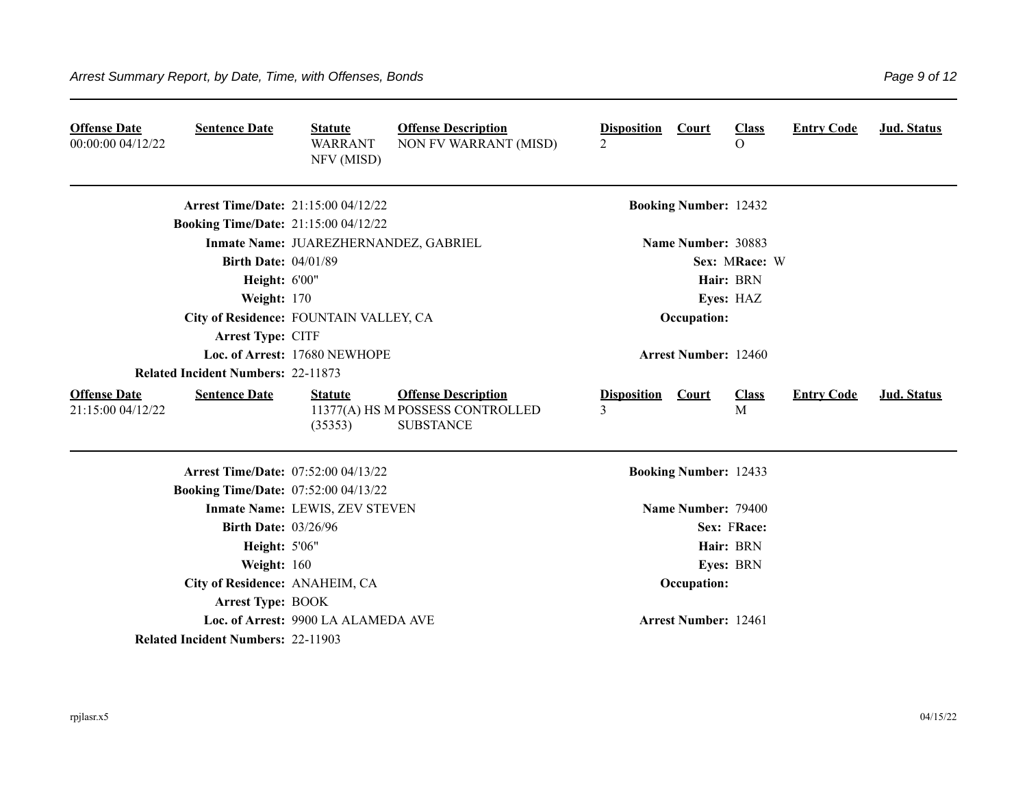| <b>Offense Date</b><br>00:00:00 04/12/22 | <b>Sentence Date</b>                        | <b>Statute</b><br><b>WARRANT</b><br>NFV (MISD) | <b>Offense Description</b><br>NON FV WARRANT (MISD)                                | <b>Disposition</b><br>$\overline{2}$ | <b>Court</b>                 | <b>Class</b><br>$\Omega$ | <b>Entry Code</b> | <b>Jud. Status</b> |
|------------------------------------------|---------------------------------------------|------------------------------------------------|------------------------------------------------------------------------------------|--------------------------------------|------------------------------|--------------------------|-------------------|--------------------|
|                                          | <b>Arrest Time/Date: 21:15:00 04/12/22</b>  |                                                |                                                                                    |                                      | <b>Booking Number: 12432</b> |                          |                   |                    |
|                                          | <b>Booking Time/Date: 21:15:00 04/12/22</b> |                                                |                                                                                    |                                      |                              |                          |                   |                    |
|                                          |                                             | Inmate Name: JUAREZHERNANDEZ, GABRIEL          |                                                                                    |                                      | Name Number: 30883           |                          |                   |                    |
|                                          | <b>Birth Date: 04/01/89</b>                 |                                                |                                                                                    |                                      |                              | Sex: MRace: W            |                   |                    |
|                                          | <b>Height: 6'00"</b>                        |                                                |                                                                                    |                                      |                              | Hair: BRN                |                   |                    |
|                                          | Weight: 170                                 |                                                |                                                                                    |                                      |                              | Eyes: HAZ                |                   |                    |
|                                          | City of Residence: FOUNTAIN VALLEY, CA      |                                                |                                                                                    |                                      | Occupation:                  |                          |                   |                    |
|                                          | Arrest Type: CITF                           |                                                |                                                                                    |                                      |                              |                          |                   |                    |
|                                          |                                             | Loc. of Arrest: 17680 NEWHOPE                  |                                                                                    |                                      | <b>Arrest Number: 12460</b>  |                          |                   |                    |
|                                          | <b>Related Incident Numbers: 22-11873</b>   |                                                |                                                                                    |                                      |                              |                          |                   |                    |
| <b>Offense Date</b><br>21:15:00 04/12/22 | <b>Sentence Date</b>                        | <b>Statute</b><br>(35353)                      | <b>Offense Description</b><br>11377(A) HS M POSSESS CONTROLLED<br><b>SUBSTANCE</b> | <b>Disposition</b><br>3              | <b>Court</b>                 | <b>Class</b><br>M        | <b>Entry Code</b> | Jud. Status        |
|                                          | <b>Arrest Time/Date: 07:52:00 04/13/22</b>  |                                                |                                                                                    |                                      | <b>Booking Number: 12433</b> |                          |                   |                    |
|                                          | <b>Booking Time/Date: 07:52:00 04/13/22</b> |                                                |                                                                                    |                                      |                              |                          |                   |                    |
|                                          |                                             | Inmate Name: LEWIS, ZEV STEVEN                 |                                                                                    |                                      | Name Number: 79400           |                          |                   |                    |
|                                          | <b>Birth Date: 03/26/96</b>                 |                                                |                                                                                    |                                      |                              | Sex: FRace:              |                   |                    |
|                                          | <b>Height: 5'06"</b>                        |                                                |                                                                                    |                                      |                              | Hair: BRN                |                   |                    |
|                                          | Weight: 160                                 |                                                |                                                                                    |                                      |                              | Eyes: BRN                |                   |                    |
|                                          | City of Residence: ANAHEIM, CA              |                                                |                                                                                    |                                      | Occupation:                  |                          |                   |                    |
|                                          | <b>Arrest Type: BOOK</b>                    |                                                |                                                                                    |                                      |                              |                          |                   |                    |
|                                          |                                             | Loc. of Arrest: 9900 LA ALAMEDA AVE            |                                                                                    |                                      | <b>Arrest Number: 12461</b>  |                          |                   |                    |
|                                          | <b>Related Incident Numbers: 22-11903</b>   |                                                |                                                                                    |                                      |                              |                          |                   |                    |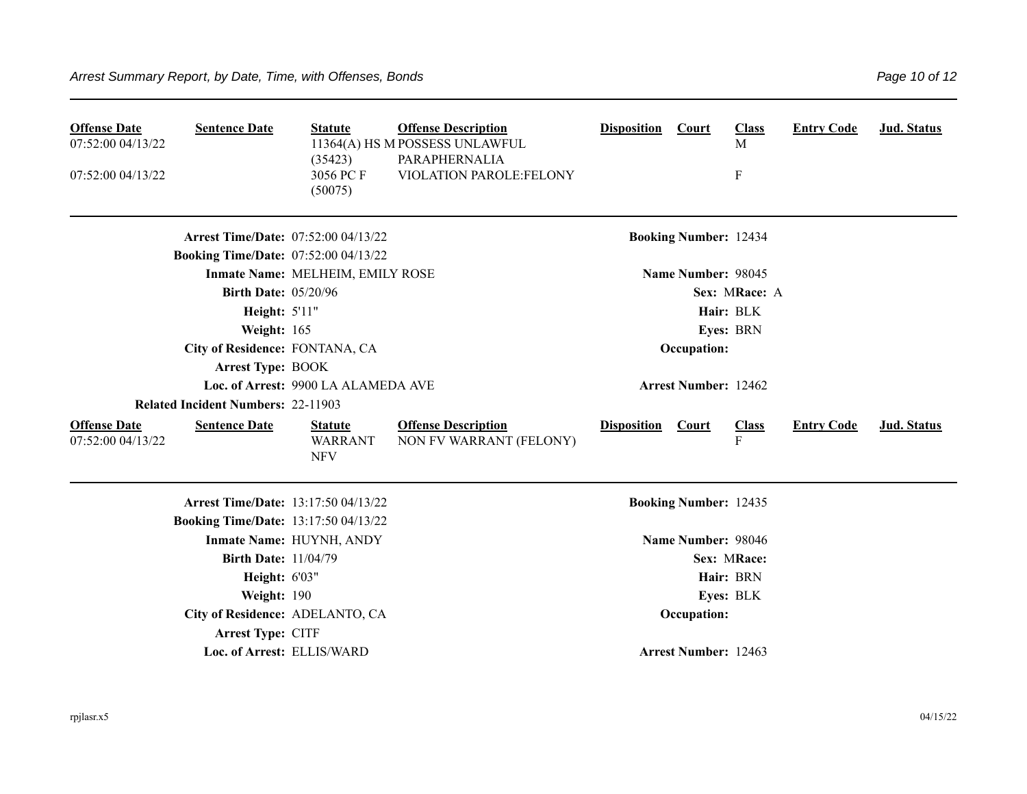| <b>Offense Date</b><br>07:52:00 04/13/22<br>07:52:00 04/13/22 | <b>Sentence Date</b>                        | <b>Statute</b><br>(35423)<br>3056 PC F<br>(50075) | <b>Offense Description</b><br>11364(A) HS M POSSESS UNLAWFUL<br>PARAPHERNALIA<br>VIOLATION PAROLE:FELONY | <b>Disposition</b> | <b>Court</b>                 | <b>Class</b><br>M<br>$\boldsymbol{\mathrm{F}}$ | <b>Entry Code</b> | Jud. Status        |
|---------------------------------------------------------------|---------------------------------------------|---------------------------------------------------|----------------------------------------------------------------------------------------------------------|--------------------|------------------------------|------------------------------------------------|-------------------|--------------------|
|                                                               | <b>Arrest Time/Date: 07:52:00 04/13/22</b>  |                                                   |                                                                                                          |                    | <b>Booking Number: 12434</b> |                                                |                   |                    |
|                                                               | <b>Booking Time/Date: 07:52:00 04/13/22</b> |                                                   |                                                                                                          |                    |                              |                                                |                   |                    |
|                                                               |                                             | Inmate Name: MELHEIM, EMILY ROSE                  |                                                                                                          |                    | Name Number: 98045           |                                                |                   |                    |
|                                                               | <b>Birth Date: 05/20/96</b>                 |                                                   |                                                                                                          |                    |                              | Sex: MRace: A                                  |                   |                    |
|                                                               | Height: 5'11"                               |                                                   |                                                                                                          |                    |                              | Hair: BLK                                      |                   |                    |
|                                                               | Weight: 165                                 |                                                   |                                                                                                          |                    |                              | Eyes: BRN                                      |                   |                    |
|                                                               | City of Residence: FONTANA, CA              |                                                   |                                                                                                          |                    | Occupation:                  |                                                |                   |                    |
|                                                               | <b>Arrest Type: BOOK</b>                    |                                                   |                                                                                                          |                    |                              |                                                |                   |                    |
|                                                               |                                             | Loc. of Arrest: 9900 LA ALAMEDA AVE               |                                                                                                          |                    | <b>Arrest Number: 12462</b>  |                                                |                   |                    |
|                                                               | <b>Related Incident Numbers: 22-11903</b>   |                                                   |                                                                                                          |                    |                              |                                                |                   |                    |
| <b>Offense Date</b><br>07:52:00 04/13/22                      | <b>Sentence Date</b>                        | <b>Statute</b><br><b>WARRANT</b><br><b>NFV</b>    | <b>Offense Description</b><br>NON FV WARRANT (FELONY)                                                    | <b>Disposition</b> | <b>Court</b>                 | <b>Class</b><br>F                              | <b>Entry Code</b> | <b>Jud. Status</b> |
|                                                               | <b>Arrest Time/Date: 13:17:50 04/13/22</b>  |                                                   |                                                                                                          |                    | <b>Booking Number: 12435</b> |                                                |                   |                    |
|                                                               | <b>Booking Time/Date: 13:17:50 04/13/22</b> |                                                   |                                                                                                          |                    |                              |                                                |                   |                    |
|                                                               |                                             | Inmate Name: HUYNH, ANDY                          |                                                                                                          |                    | Name Number: 98046           |                                                |                   |                    |
|                                                               | <b>Birth Date: 11/04/79</b>                 |                                                   |                                                                                                          |                    |                              | Sex: MRace:                                    |                   |                    |
|                                                               | Height: 6'03"                               |                                                   |                                                                                                          |                    |                              | Hair: BRN                                      |                   |                    |
|                                                               | Weight: 190                                 |                                                   |                                                                                                          |                    |                              | Eyes: BLK                                      |                   |                    |
|                                                               | City of Residence: ADELANTO, CA             |                                                   |                                                                                                          |                    | Occupation:                  |                                                |                   |                    |
|                                                               | Arrest Type: CITF                           |                                                   |                                                                                                          |                    |                              |                                                |                   |                    |
|                                                               | Loc. of Arrest: ELLIS/WARD                  |                                                   |                                                                                                          |                    | <b>Arrest Number: 12463</b>  |                                                |                   |                    |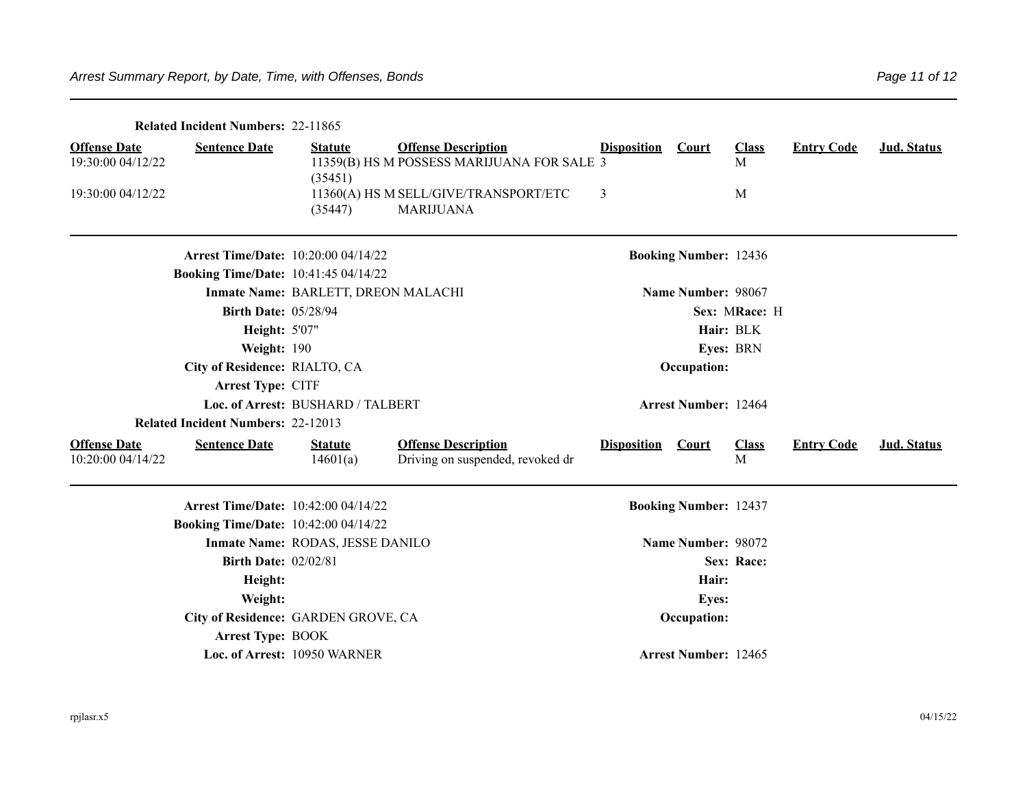|                                          | <b>Related Incident Numbers: 22-11865</b>   |                                     |                                                                          |                    |                              |                   |                   |             |
|------------------------------------------|---------------------------------------------|-------------------------------------|--------------------------------------------------------------------------|--------------------|------------------------------|-------------------|-------------------|-------------|
| <b>Offense Date</b><br>19:30:00 04/12/22 | <b>Sentence Date</b>                        | <b>Statute</b><br>(35451)           | <b>Offense Description</b><br>11359(B) HS M POSSESS MARIJUANA FOR SALE 3 | <b>Disposition</b> | <b>Court</b>                 | <b>Class</b><br>M | <b>Entry Code</b> | Jud. Status |
| 19:30:00 04/12/22                        |                                             | (35447)                             | 11360(A) HS M SELL/GIVE/TRANSPORT/ETC<br><b>MARIJUANA</b>                | 3                  |                              | M                 |                   |             |
|                                          | <b>Arrest Time/Date: 10:20:00 04/14/22</b>  |                                     |                                                                          |                    | <b>Booking Number: 12436</b> |                   |                   |             |
|                                          | <b>Booking Time/Date: 10:41:45 04/14/22</b> |                                     |                                                                          |                    |                              |                   |                   |             |
|                                          |                                             | Inmate Name: BARLETT, DREON MALACHI |                                                                          |                    | Name Number: 98067           |                   |                   |             |
|                                          | <b>Birth Date: 05/28/94</b>                 |                                     |                                                                          |                    |                              | Sex: MRace: H     |                   |             |
|                                          | <b>Height: 5'07"</b>                        |                                     |                                                                          |                    |                              | Hair: BLK         |                   |             |
|                                          | Weight: 190                                 |                                     |                                                                          |                    |                              | Eyes: BRN         |                   |             |
|                                          | City of Residence: RIALTO, CA               |                                     |                                                                          |                    | Occupation:                  |                   |                   |             |
|                                          | Arrest Type: CITF                           |                                     |                                                                          |                    |                              |                   |                   |             |
|                                          |                                             | Loc. of Arrest: BUSHARD / TALBERT   |                                                                          |                    | <b>Arrest Number: 12464</b>  |                   |                   |             |
|                                          | <b>Related Incident Numbers: 22-12013</b>   |                                     |                                                                          |                    |                              |                   |                   |             |
| <b>Offense Date</b><br>10:20:00 04/14/22 | <b>Sentence Date</b>                        | <b>Statute</b><br>14601(a)          | <b>Offense Description</b><br>Driving on suspended, revoked dr           | <b>Disposition</b> | <b>Court</b>                 | <b>Class</b><br>M | <b>Entry Code</b> | Jud. Status |
|                                          | <b>Arrest Time/Date: 10:42:00 04/14/22</b>  |                                     |                                                                          |                    | <b>Booking Number: 12437</b> |                   |                   |             |
|                                          | <b>Booking Time/Date: 10:42:00 04/14/22</b> |                                     |                                                                          |                    |                              |                   |                   |             |
|                                          |                                             | Inmate Name: RODAS, JESSE DANILO    |                                                                          |                    | Name Number: 98072           |                   |                   |             |
|                                          | <b>Birth Date: 02/02/81</b>                 |                                     |                                                                          |                    |                              | Sex: Race:        |                   |             |
|                                          | Height:                                     |                                     |                                                                          |                    | Hair:                        |                   |                   |             |
|                                          | Weight:                                     |                                     |                                                                          |                    | <b>Eyes:</b>                 |                   |                   |             |
|                                          |                                             | City of Residence: GARDEN GROVE, CA |                                                                          |                    | Occupation:                  |                   |                   |             |
|                                          | <b>Arrest Type: BOOK</b>                    |                                     |                                                                          |                    |                              |                   |                   |             |
|                                          |                                             | Loc. of Arrest: 10950 WARNER        |                                                                          |                    | <b>Arrest Number: 12465</b>  |                   |                   |             |